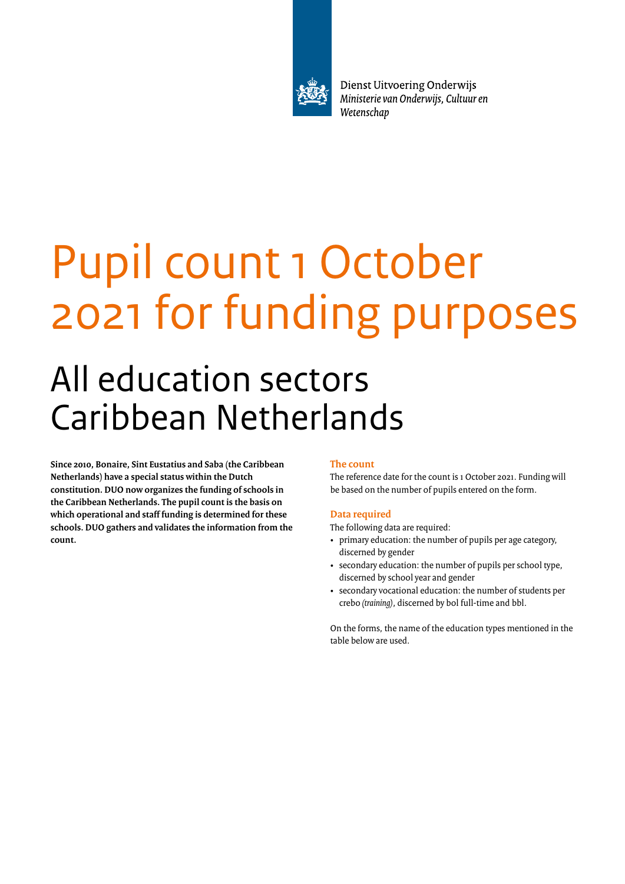

Dienst Uitvoering Onderwijs Ministerie van Onderwijs, Cultuur en Wetenschap

# Pupil count 1 October 2021 for funding purposes

# All education sectors Caribbean Netherlands

**Since 2010, Bonaire, Sint Eustatius and Saba (the Caribbean Netherlands) have a special status within the Dutch constitution. DUO now organizes the funding of schools in the Caribbean Netherlands. The pupil count is the basis on which operational and staff funding is determined for these schools. DUO gathers and validates the information from the count.**

# **The count**

The reference date for the count is 1 October 2021. Funding will be based on the number of pupils entered on the form.

## **Data required**

The following data are required:

- primary education: the number of pupils per age category, discerned by gender
- secondary education: the number of pupils per school type, discerned by school year and gender
- secondary vocational education: the number of students per crebo *(training)*, discerned by bol full-time and bbl.

On the forms, the name of the education types mentioned in the table below are used.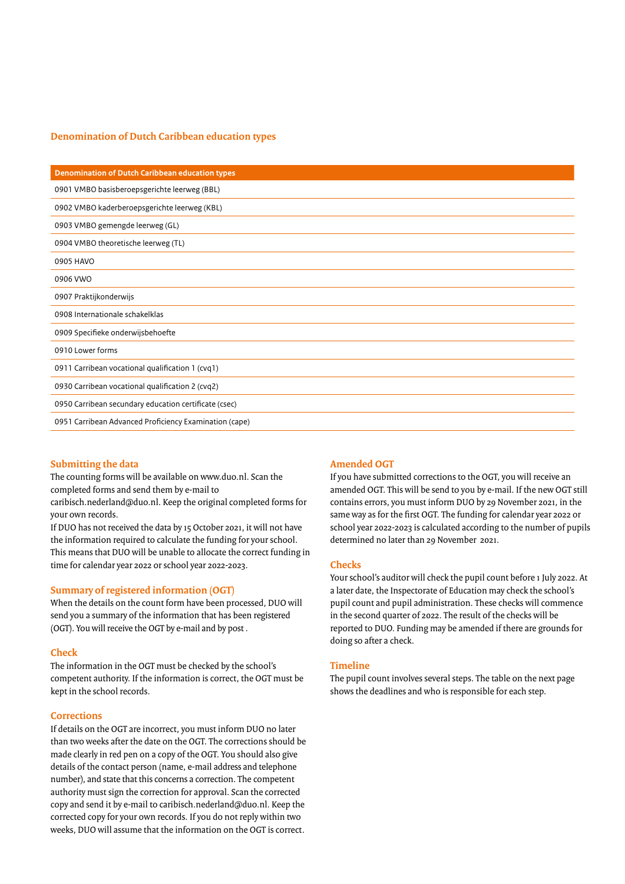## **Denomination of Dutch Caribbean education types**

| <b>Denomination of Dutch Caribbean education types</b> |
|--------------------------------------------------------|
| 0901 VMBO basisberoepsgerichte leerweg (BBL)           |
| 0902 VMBO kaderberoepsgerichte leerweg (KBL)           |
| 0903 VMBO gemengde leerweg (GL)                        |
| 0904 VMBO theoretische leerweg (TL)                    |
| 0905 HAVO                                              |
| 0906 VWO                                               |
| 0907 Praktijkonderwijs                                 |
| 0908 Internationale schakelklas                        |
| 0909 Specifieke onderwijsbehoefte                      |
| 0910 Lower forms                                       |
| 0911 Carribean vocational qualification 1 (cvq1)       |
| 0930 Carribean vocational qualification 2 (cvq2)       |
| 0950 Carribean secundary education certificate (csec)  |
| 0951 Carribean Advanced Proficiency Examination (cape) |

#### **Submitting the data**

The counting forms will be available on www.duo.nl. Scan the completed forms and send them by e-mail to

caribisch.nederland@duo.nl. Keep the original completed forms for your own records.

If DUO has not received the data by 15 October 2021, it will not have the information required to calculate the funding for your school. This means that DUO will be unable to allocate the correct funding in time for calendar year 2022 or school year 2022-2023.

#### **Summary of registered information (OGT)**

When the details on the count form have been processed, DUO will send you a summary of the information that has been registered (OGT). You will receive the OGT by e-mail and by post .

#### **Check**

The information in the OGT must be checked by the school's competent authority. If the information is correct, the OGT must be kept in the school records.

#### **Corrections**

If details on the OGT are incorrect, you must inform DUO no later than two weeks after the date on the OGT. The corrections should be made clearly in red pen on a copy of the OGT. You should also give details of the contact person (name, e-mail address and telephone number), and state that this concerns a correction. The competent authority must sign the correction for approval. Scan the corrected copy and send it by e-mail to caribisch.nederland@duo.nl. Keep the corrected copy for your own records. If you do not reply within two weeks, DUO will assume that the information on the OGT is correct.

#### **Amended OGT**

If you have submitted corrections to the OGT, you will receive an amended OGT. This will be send to you by e-mail. If the new OGT still contains errors, you must inform DUO by 29 November 2021, in the same way as for the first OGT. The funding for calendar year 2022 or school year 2022-2023 is calculated according to the number of pupils determined no later than 29 November 2021.

#### **Checks**

Your school's auditor will check the pupil count before 1 July 2022. At a later date, the Inspectorate of Education may check the school's pupil count and pupil administration. These checks will commence in the second quarter of 2022. The result of the checks will be reported to DUO. Funding may be amended if there are grounds for doing so after a check.

#### **Timeline**

The pupil count involves several steps. The table on the next page shows the deadlines and who is responsible for each step.